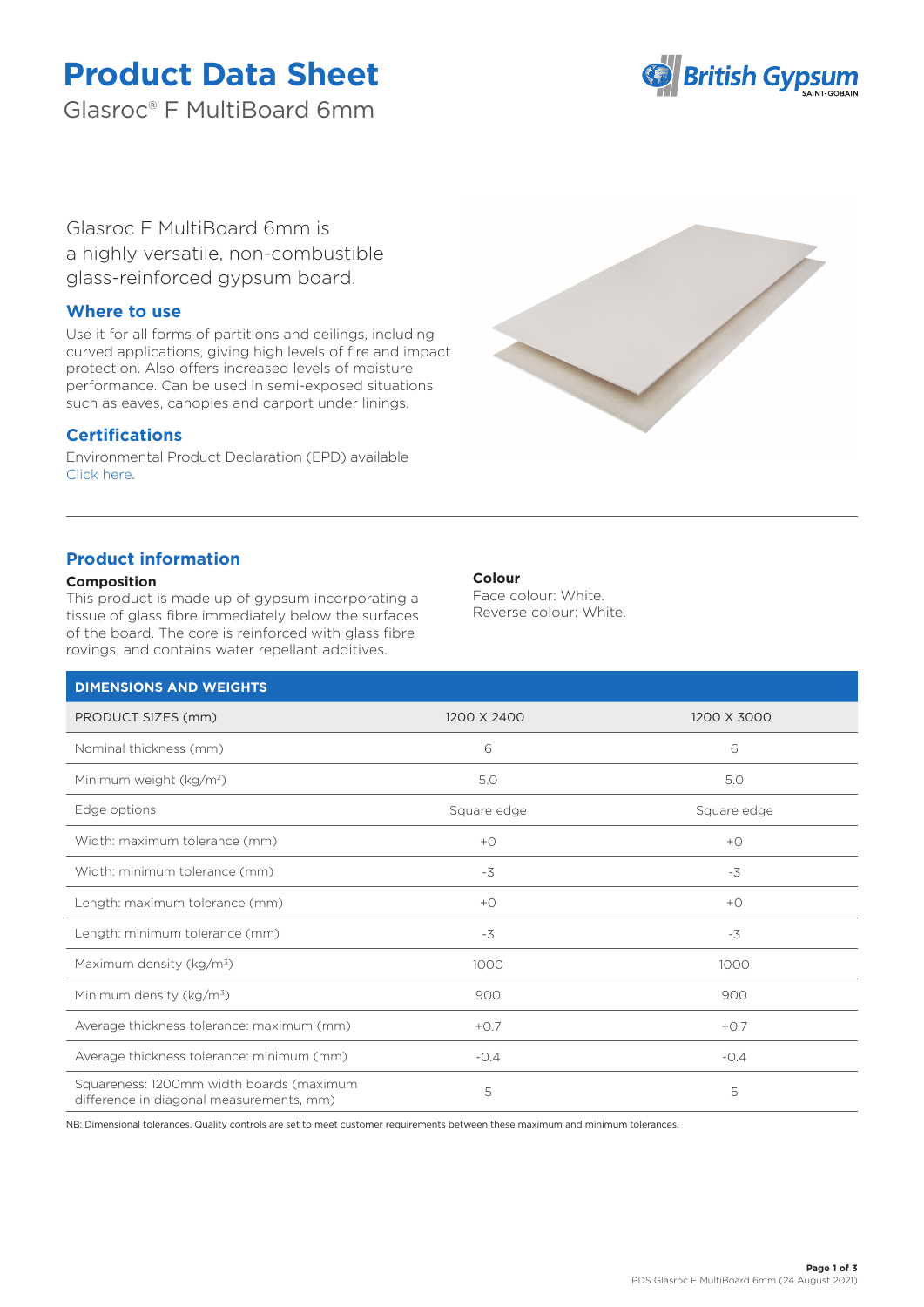# **Product Data Sheet**

Glasroc® F MultiBoard 6mm



Glasroc F MultiBoard 6mm is a highly versatile, non-combustible glass-reinforced gypsum board.

## **Where to use**

Use it for all forms of partitions and ceilings, including curved applications, giving high levels of fire and impact protection. Also offers increased levels of moisture performance. Can be used in semi-exposed situations such as eaves, canopies and carport under linings.

## **Certifications**

Environmental Product Declaration (EPD) available [Click here.](https://www.british-gypsum.com/EPD)



# **Product information**

### **Composition**

This product is made up of gypsum incorporating a tissue of glass fibre immediately below the surfaces of the board. The core is reinforced with glass fibre rovings, and contains water repellant additives.

## **Colour**

Face colour: White. Reverse colour: White.

| <b>DIMENSIONS AND WEIGHTS</b>                                                        |             |             |
|--------------------------------------------------------------------------------------|-------------|-------------|
| PRODUCT SIZES (mm)                                                                   | 1200 X 2400 | 1200 X 3000 |
| Nominal thickness (mm)                                                               | 6           | 6           |
| Minimum weight (kg/m <sup>2</sup> )                                                  | 5.0         | 5.0         |
| Edge options                                                                         | Square edge | Square edge |
| Width: maximum tolerance (mm)                                                        | $+O$        | $+O$        |
| Width: minimum tolerance (mm)                                                        | $-3$        | $-3$        |
| Length: maximum tolerance (mm)                                                       | $+O$        | $+O$        |
| Length: minimum tolerance (mm)                                                       | $-3$        | $-3$        |
| Maximum density (kg/m <sup>3</sup> )                                                 | 1000        | 1000        |
| Minimum density (kg/m <sup>3</sup> )                                                 | 900         | 900         |
| Average thickness tolerance: maximum (mm)                                            | $+0.7$      | $+0.7$      |
| Average thickness tolerance: minimum (mm)                                            | $-0.4$      | $-0.4$      |
| Squareness: 1200mm width boards (maximum<br>difference in diagonal measurements, mm) | 5           | 5           |

NB: Dimensional tolerances. Quality controls are set to meet customer requirements between these maximum and minimum tolerances.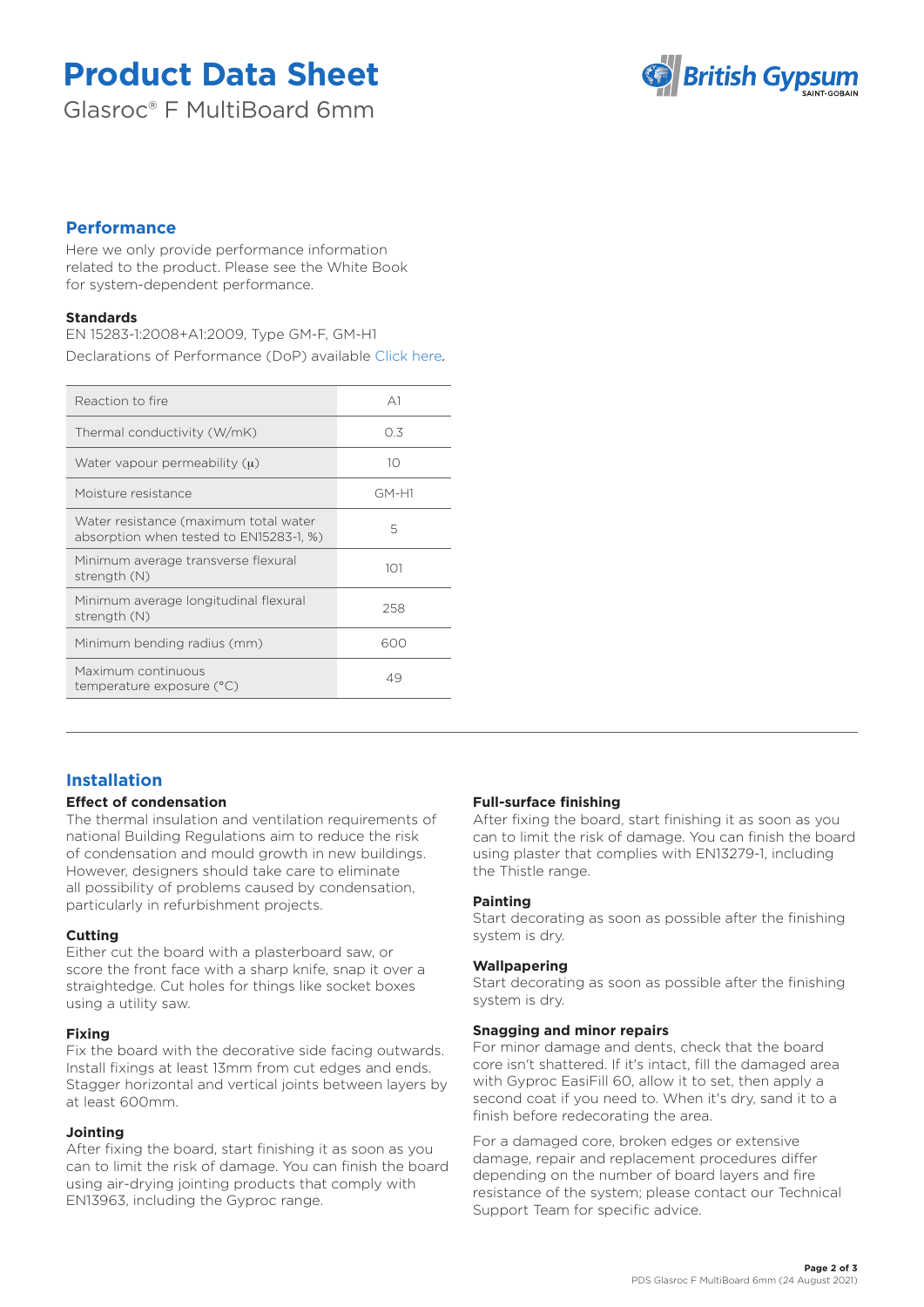# **Product Data Sheet**

Glasroc® F MultiBoard 6mm



## **Performance**

Here we only provide performance information related to the product. Please see the White Book for system-dependent performance.

### **Standards**

EN 15283-1:2008+A1:2009, Type GM-F, GM-H1 Declarations of Performance (DoP) available [Click here](https://www.british-gypsum.com/DoP)*.*

| Reaction to fire                                                                 | A <sub>1</sub> |
|----------------------------------------------------------------------------------|----------------|
| Thermal conductivity (W/mK)                                                      | 0.3            |
| Water vapour permeability $(\mu)$                                                | 10             |
| Moisture resistance                                                              | GM-H1          |
| Water resistance (maximum total water<br>absorption when tested to EN15283-1, %) | 5              |
| Minimum average transverse flexural<br>strength (N)                              | 101            |
| Minimum average longitudinal flexural<br>strength (N)                            | 258            |
| Minimum bending radius (mm)                                                      | 600            |
| Maximum continuous<br>temperature exposure (°C)                                  | 49             |
|                                                                                  |                |

# **Installation**

### **Effect of condensation**

The thermal insulation and ventilation requirements of national Building Regulations aim to reduce the risk of condensation and mould growth in new buildings. However, designers should take care to eliminate all possibility of problems caused by condensation, particularly in refurbishment projects.

### **Cutting**

Either cut the board with a plasterboard saw, or score the front face with a sharp knife, snap it over a straightedge. Cut holes for things like socket boxes using a utility saw.

## **Fixing**

Fix the board with the decorative side facing outwards. Install fixings at least 13mm from cut edges and ends. Stagger horizontal and vertical joints between layers by at least 600mm.

### **Jointing**

After fixing the board, start finishing it as soon as you can to limit the risk of damage. You can finish the board using air-drying jointing products that comply with EN13963, including the Gyproc range.

### **Full-surface finishing**

After fixing the board, start finishing it as soon as you can to limit the risk of damage. You can finish the board using plaster that complies with EN13279-1, including the Thistle range.

### **Painting**

Start decorating as soon as possible after the finishing system is dry.

### **Wallpapering**

Start decorating as soon as possible after the finishing system is dry.

#### **Snagging and minor repairs**

For minor damage and dents, check that the board core isn't shattered. If it's intact, fill the damaged area with Gyproc EasiFill 60, allow it to set, then apply a second coat if you need to. When it's dry, sand it to a finish before redecorating the area.

For a damaged core, broken edges or extensive damage, repair and replacement procedures differ depending on the number of board layers and fire resistance of the system; please contact our Technical Support Team for specific advice.